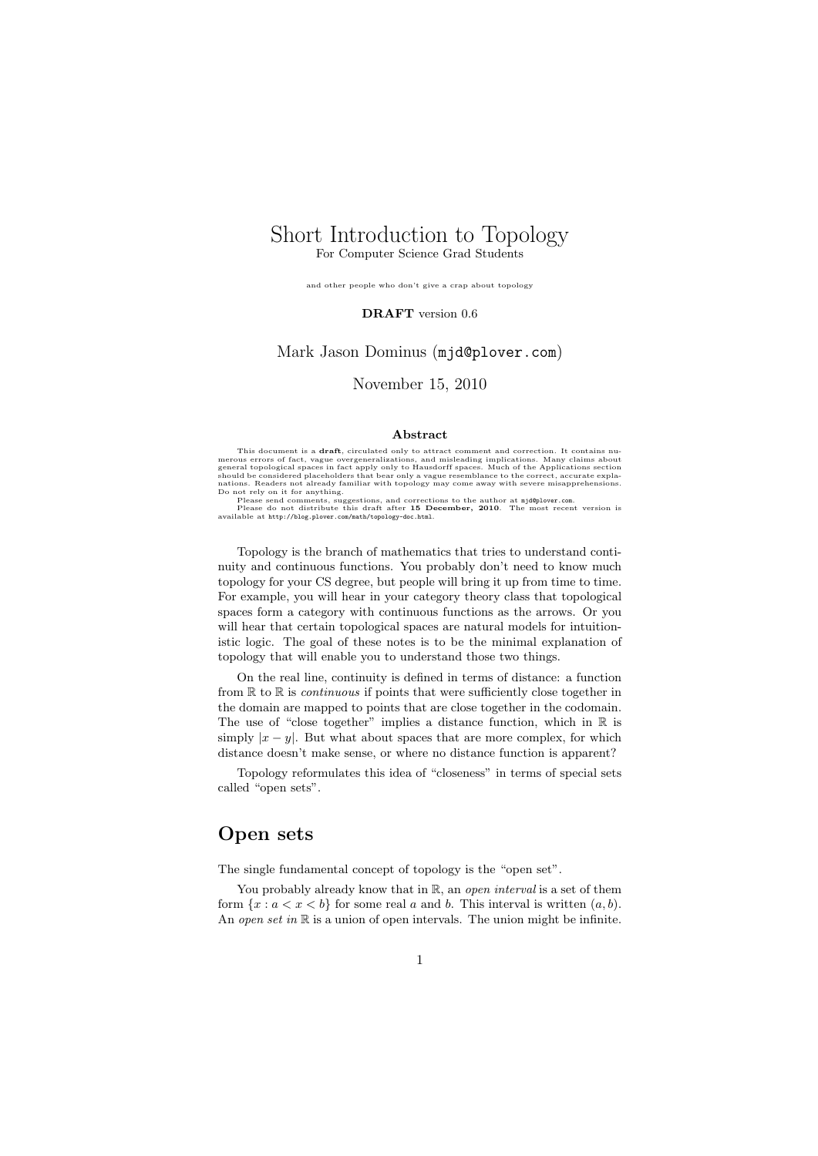### Short Introduction to Topology For Computer Science Grad Students

and other people who don't give a crap about topology

DRAFT version 0.6

### Mark Jason Dominus (mjd@plover.com)

### November 15, 2010

#### Abstract

This document is a **draft**, circulated only to attract comment and correction. It contains numerous errors of fact, vague overgeneralizations, and misleading implications. Many claims about general topological spaces in fa

nations. Readers not already familiar with topology may come away with severe misapprehensions.<br>Do not rely on it for anything.<br>Please send comments, suggestions, and corrections to the author at mjd@plover.com.<br>Please do

Topology is the branch of mathematics that tries to understand continuity and continuous functions. You probably don't need to know much topology for your CS degree, but people will bring it up from time to time. For example, you will hear in your category theory class that topological spaces form a category with continuous functions as the arrows. Or you will hear that certain topological spaces are natural models for intuitionistic logic. The goal of these notes is to be the minimal explanation of topology that will enable you to understand those two things.

On the real line, continuity is defined in terms of distance: a function from  $\mathbb R$  to  $\mathbb R$  is *continuous* if points that were sufficiently close together in the domain are mapped to points that are close together in the codomain. The use of "close together" implies a distance function, which in  $\mathbb R$  is simply  $|x - y|$ . But what about spaces that are more complex, for which distance doesn't make sense, or where no distance function is apparent?

Topology reformulates this idea of "closeness" in terms of special sets called "open sets".

# Open sets

The single fundamental concept of topology is the "open set".

You probably already know that in  $\mathbb{R}$ , an *open interval* is a set of them form  $\{x : a < x < b\}$  for some real a and b. This interval is written  $(a, b)$ . An open set in  $\mathbb R$  is a union of open intervals. The union might be infinite.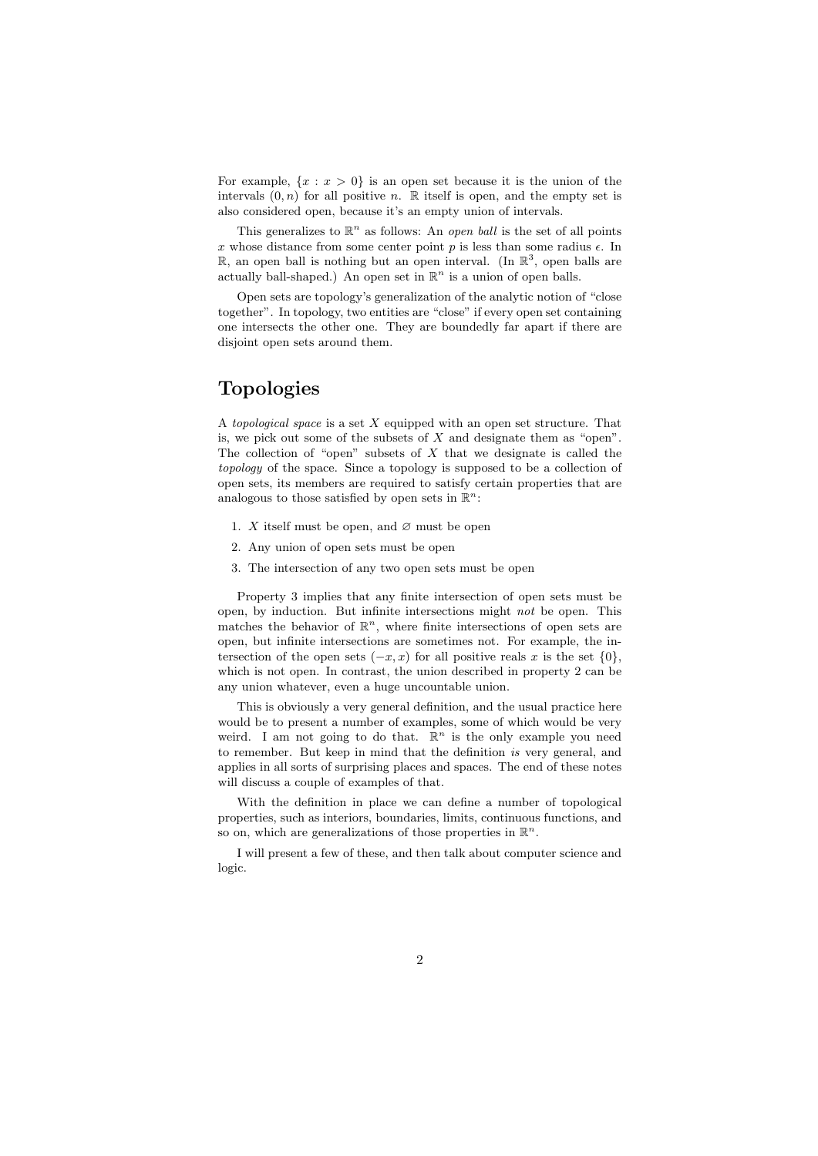For example,  $\{x : x > 0\}$  is an open set because it is the union of the intervals  $(0, n)$  for all positive n. R itself is open, and the empty set is also considered open, because it's an empty union of intervals.

This generalizes to  $\mathbb{R}^n$  as follows: An *open ball* is the set of all points x whose distance from some center point p is less than some radius  $\epsilon$ . In  $\mathbb{R}$ , an open ball is nothing but an open interval. (In  $\mathbb{R}^3$ , open balls are actually ball-shaped.) An open set in  $\mathbb{R}^n$  is a union of open balls.

Open sets are topology's generalization of the analytic notion of "close together". In topology, two entities are "close" if every open set containing one intersects the other one. They are boundedly far apart if there are disjoint open sets around them.

# Topologies

A topological space is a set  $X$  equipped with an open set structure. That is, we pick out some of the subsets of  $X$  and designate them as "open". The collection of "open" subsets of  $X$  that we designate is called the topology of the space. Since a topology is supposed to be a collection of open sets, its members are required to satisfy certain properties that are analogous to those satisfied by open sets in  $\mathbb{R}^n$ :

- 1. X itself must be open, and  $\varnothing$  must be open
- 2. Any union of open sets must be open
- 3. The intersection of any two open sets must be open

Property 3 implies that any finite intersection of open sets must be open, by induction. But infinite intersections might not be open. This matches the behavior of  $\mathbb{R}^n$ , where finite intersections of open sets are open, but infinite intersections are sometimes not. For example, the intersection of the open sets  $(-x, x)$  for all positive reals x is the set  $\{0\}$ , which is not open. In contrast, the union described in property 2 can be any union whatever, even a huge uncountable union.

This is obviously a very general definition, and the usual practice here would be to present a number of examples, some of which would be very weird. I am not going to do that.  $\mathbb{R}^n$  is the only example you need to remember. But keep in mind that the definition is very general, and applies in all sorts of surprising places and spaces. The end of these notes will discuss a couple of examples of that.

With the definition in place we can define a number of topological properties, such as interiors, boundaries, limits, continuous functions, and so on, which are generalizations of those properties in  $\mathbb{R}^n$ .

I will present a few of these, and then talk about computer science and logic.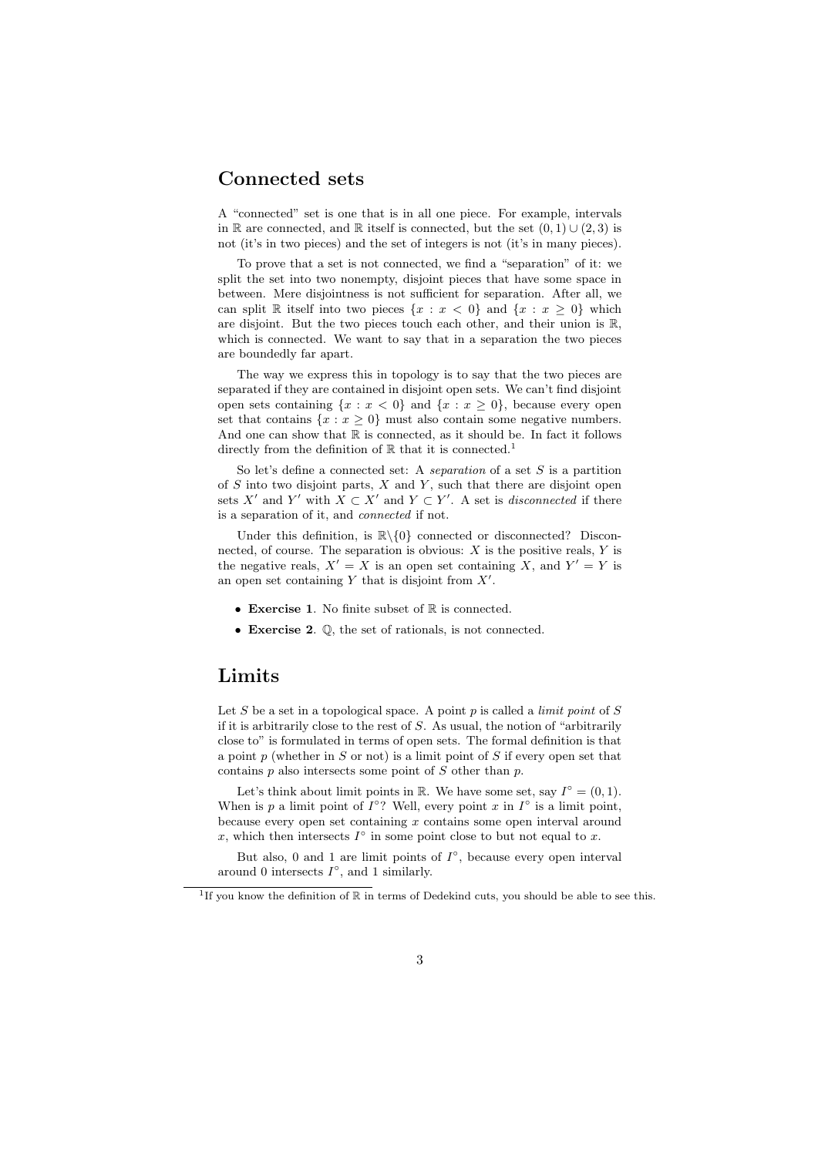## Connected sets

A "connected" set is one that is in all one piece. For example, intervals in R are connected, and R itself is connected, but the set  $(0, 1) \cup (2, 3)$  is not (it's in two pieces) and the set of integers is not (it's in many pieces).

To prove that a set is not connected, we find a "separation" of it: we split the set into two nonempty, disjoint pieces that have some space in between. Mere disjointness is not sufficient for separation. After all, we can split R itself into two pieces  $\{x : x < 0\}$  and  $\{x : x \ge 0\}$  which are disjoint. But the two pieces touch each other, and their union is  $\mathbb{R}$ , which is connected. We want to say that in a separation the two pieces are boundedly far apart.

The way we express this in topology is to say that the two pieces are separated if they are contained in disjoint open sets. We can't find disjoint open sets containing  $\{x : x < 0\}$  and  $\{x : x > 0\}$ , because every open set that contains  $\{x : x \geq 0\}$  must also contain some negative numbers. And one can show that  $\mathbb R$  is connected, as it should be. In fact it follows directly from the definition of  $\mathbb R$  that it is connected.<sup>1</sup>

So let's define a connected set: A separation of a set  $S$  is a partition of  $S$  into two disjoint parts,  $X$  and  $Y$ , such that there are disjoint open sets X' and Y' with  $X \subset X'$  and  $Y \subset Y'$ . A set is *disconnected* if there is a separation of it, and connected if not.

Under this definition, is  $\mathbb{R}\setminus\{0\}$  connected or disconnected? Disconnected, of course. The separation is obvious:  $X$  is the positive reals,  $Y$  is the negative reals,  $X' = X$  is an open set containing X, and  $Y' = Y$  is an open set containing  $Y$  that is disjoint from  $X'$ .

- Exercise 1. No finite subset of  $\mathbb R$  is connected.
- Exercise 2. Q, the set of rationals, is not connected.

## Limits

Let  $S$  be a set in a topological space. A point  $p$  is called a *limit point* of  $S$ if it is arbitrarily close to the rest of S. As usual, the notion of "arbitrarily close to" is formulated in terms of open sets. The formal definition is that a point  $p$  (whether in  $S$  or not) is a limit point of  $S$  if every open set that contains  $p$  also intersects some point of  $S$  other than  $p$ .

Let's think about limit points in  $\mathbb R$ . We have some set, say  $I^{\circ} = (0, 1)$ . When is p a limit point of  $I^{\circ}$ ? Well, every point x in  $I^{\circ}$  is a limit point, because every open set containing  $x$  contains some open interval around x, which then intersects  $I^{\circ}$  in some point close to but not equal to x.

But also, 0 and 1 are limit points of  $I^{\circ}$ , because every open interval around 0 intersects  $I^{\circ}$ , and 1 similarly.

<sup>&</sup>lt;sup>1</sup>If you know the definition of  $\mathbb R$  in terms of Dedekind cuts, you should be able to see this.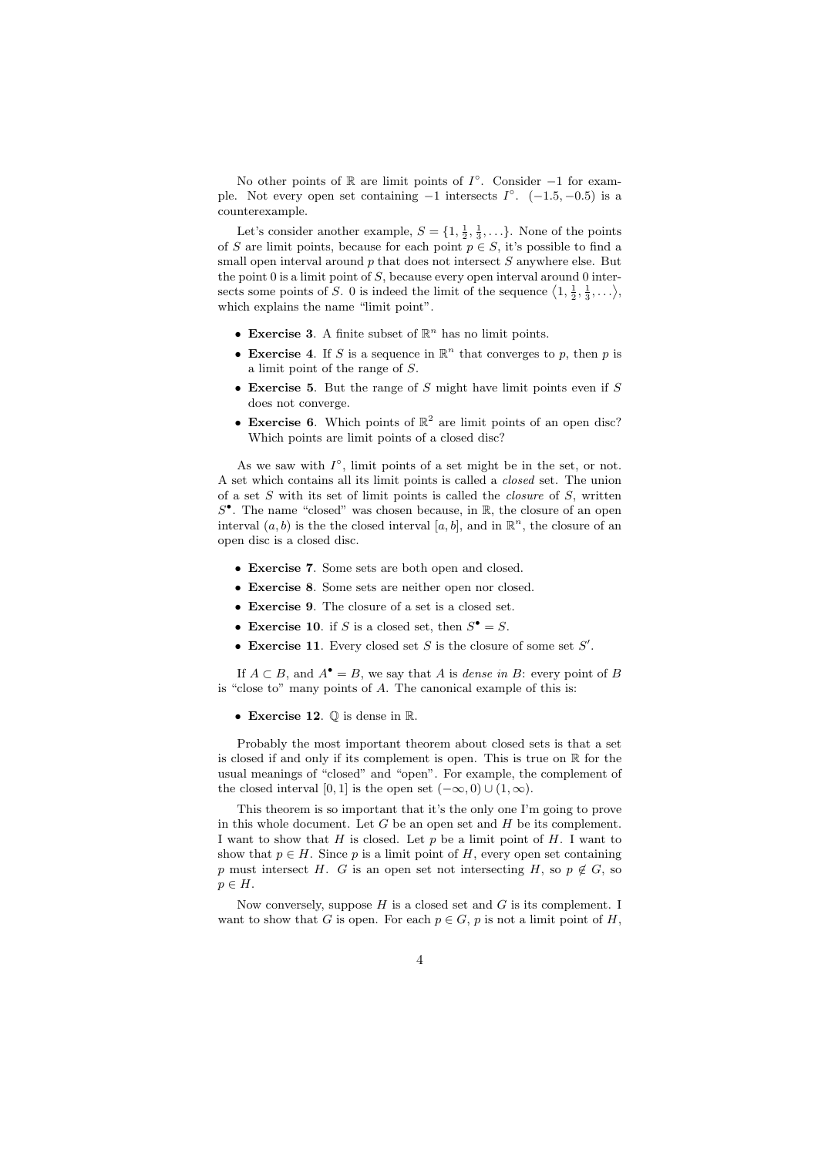No other points of  $\mathbb R$  are limit points of  $I^{\circ}$ . Consider -1 for example. Not every open set containing  $-1$  intersects  $I^{\circ}$ .  $(-1.5, -0.5)$  is a counterexample.

Let's consider another example,  $S = \{1, \frac{1}{2}, \frac{1}{3}, \ldots\}$ . None of the points of S are limit points, because for each point  $p \in S$ , it's possible to find a small open interval around  $p$  that does not intersect  $S$  anywhere else. But the point  $0$  is a limit point of  $S$ , because every open interval around  $0$  intersects some points of S. 0 is indeed the limit of the sequence  $\langle 1, \frac{1}{2}, \frac{1}{3}, \ldots \rangle$ , which explains the name "limit point".

- Exercise 3. A finite subset of  $\mathbb{R}^n$  has no limit points.
- Exercise 4. If S is a sequence in  $\mathbb{R}^n$  that converges to p, then p is a limit point of the range of S.
- Exercise 5. But the range of  $S$  might have limit points even if  $S$ does not converge.
- Exercise 6. Which points of  $\mathbb{R}^2$  are limit points of an open disc? Which points are limit points of a closed disc?

As we saw with  $I^{\circ}$ , limit points of a set might be in the set, or not. A set which contains all its limit points is called a closed set. The union of a set  $S$  with its set of limit points is called the *closure* of  $S$ , written  $S^{\bullet}$ . The name "closed" was chosen because, in  $\mathbb{R}$ , the closure of an open interval  $(a, b)$  is the the closed interval  $[a, b]$ , and in  $\mathbb{R}^n$ , the closure of an open disc is a closed disc.

- Exercise 7. Some sets are both open and closed.
- Exercise 8. Some sets are neither open nor closed.
- Exercise 9. The closure of a set is a closed set.
- Exercise 10. if S is a closed set, then  $S^{\bullet} = S$ .
- Exercise 11. Every closed set  $S$  is the closure of some set  $S'$ .

If  $A \subset B$ , and  $A^{\bullet} = B$ , we say that A is *dense in* B: every point of B is "close to" many points of A. The canonical example of this is:

• Exercise 12.  $\mathbb Q$  is dense in  $\mathbb R$ .

Probably the most important theorem about closed sets is that a set is closed if and only if its complement is open. This is true on  $\mathbb R$  for the usual meanings of "closed" and "open". For example, the complement of the closed interval [0, 1] is the open set  $(-\infty, 0) \cup (1, \infty)$ .

This theorem is so important that it's the only one I'm going to prove in this whole document. Let  $G$  be an open set and  $H$  be its complement. I want to show that  $H$  is closed. Let  $p$  be a limit point of  $H$ . I want to show that  $p \in H$ . Since p is a limit point of H, every open set containing p must intersect H. G is an open set not intersecting H, so  $p \notin G$ , so  $p \in H$ .

Now conversely, suppose  $H$  is a closed set and  $G$  is its complement. I want to show that G is open. For each  $p \in G$ , p is not a limit point of H,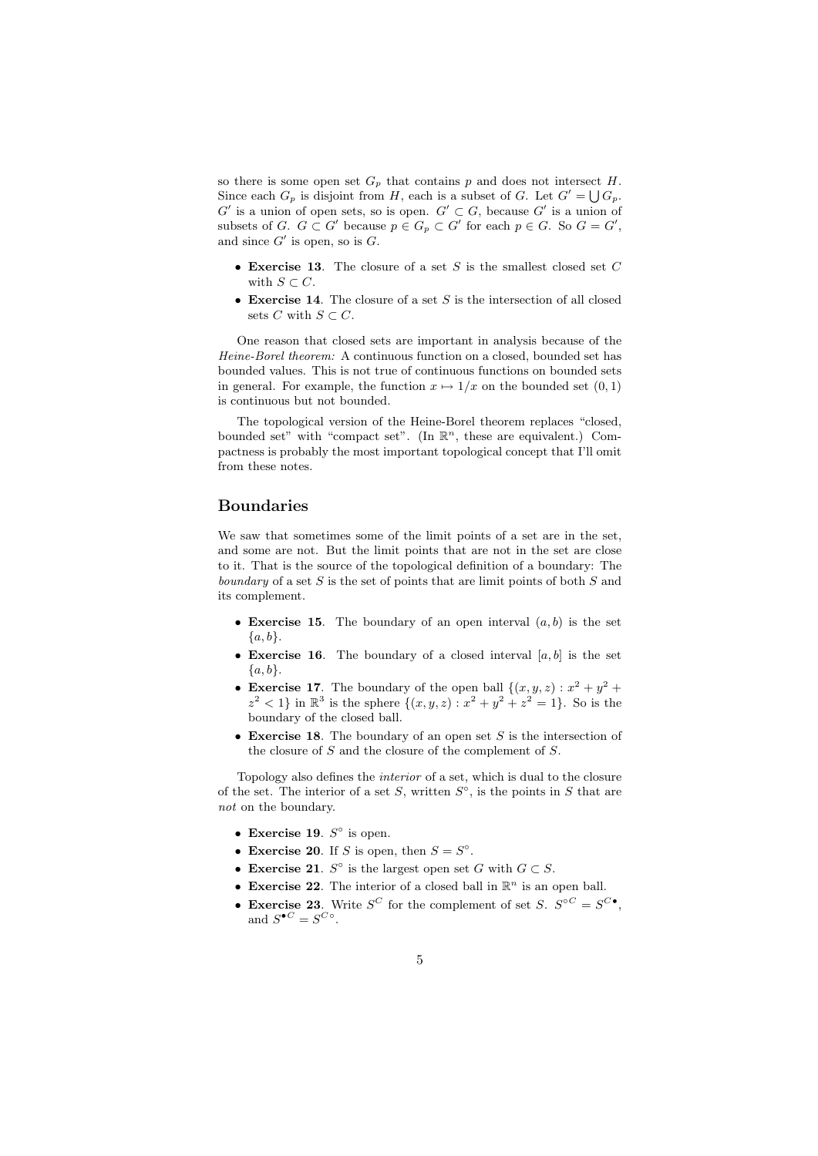so there is some open set  $G_p$  that contains p and does not intersect H. Since each  $G_p$  is disjoint from H, each is a subset of G. Let  $G' = \bigcup G_p$ .  $G'$  is a union of open sets, so is open.  $G' \subset G$ , because  $G'$  is a union of subsets of G.  $G \subset G'$  because  $p \in G_p \subset G'$  for each  $p \in G$ . So  $G = G'$ , and since  $G'$  is open, so is  $G$ .

- Exercise 13. The closure of a set S is the smallest closed set  $C$ with  $S \subset C$ .
- Exercise 14. The closure of a set  $S$  is the intersection of all closed sets C with  $S \subset C$ .

One reason that closed sets are important in analysis because of the Heine-Borel theorem: A continuous function on a closed, bounded set has bounded values. This is not true of continuous functions on bounded sets in general. For example, the function  $x \mapsto 1/x$  on the bounded set  $(0, 1)$ is continuous but not bounded.

The topological version of the Heine-Borel theorem replaces "closed, bounded set" with "compact set". (In  $\mathbb{R}^n$ , these are equivalent.) Compactness is probably the most important topological concept that I'll omit from these notes.

### Boundaries

We saw that sometimes some of the limit points of a set are in the set. and some are not. But the limit points that are not in the set are close to it. That is the source of the topological definition of a boundary: The boundary of a set  $S$  is the set of points that are limit points of both  $S$  and its complement.

- Exercise 15. The boundary of an open interval  $(a, b)$  is the set  ${a, b}.$
- Exercise 16. The boundary of a closed interval  $[a, b]$  is the set  ${a, b}.$
- Exercise 17. The boundary of the open ball  $\{(x, y, z) : x^2 + y^2 + z^2\}$  $z^2 < 1$  in  $\mathbb{R}^3$  is the sphere  $\{(x, y, z) : x^2 + y^2 + z^2 = 1\}$ . So is the boundary of the closed ball.
- Exercise 18. The boundary of an open set  $S$  is the intersection of the closure of S and the closure of the complement of S.

Topology also defines the interior of a set, which is dual to the closure of the set. The interior of a set S, written  $S^{\circ}$ , is the points in S that are not on the boundary.

- Exercise 19.  $S^{\circ}$  is open.
- Exercise 20. If S is open, then  $S = S^{\circ}$ .
- Exercise 21.  $S^{\circ}$  is the largest open set G with  $G \subset S$ .
- Exercise 22. The interior of a closed ball in  $\mathbb{R}^n$  is an open ball.
- Exercise 23. Write  $S^C$  for the complement of set S.  $S^{OC} = S^{C}$ , and  $S^{\bullet C} = S^{C \circ}$ .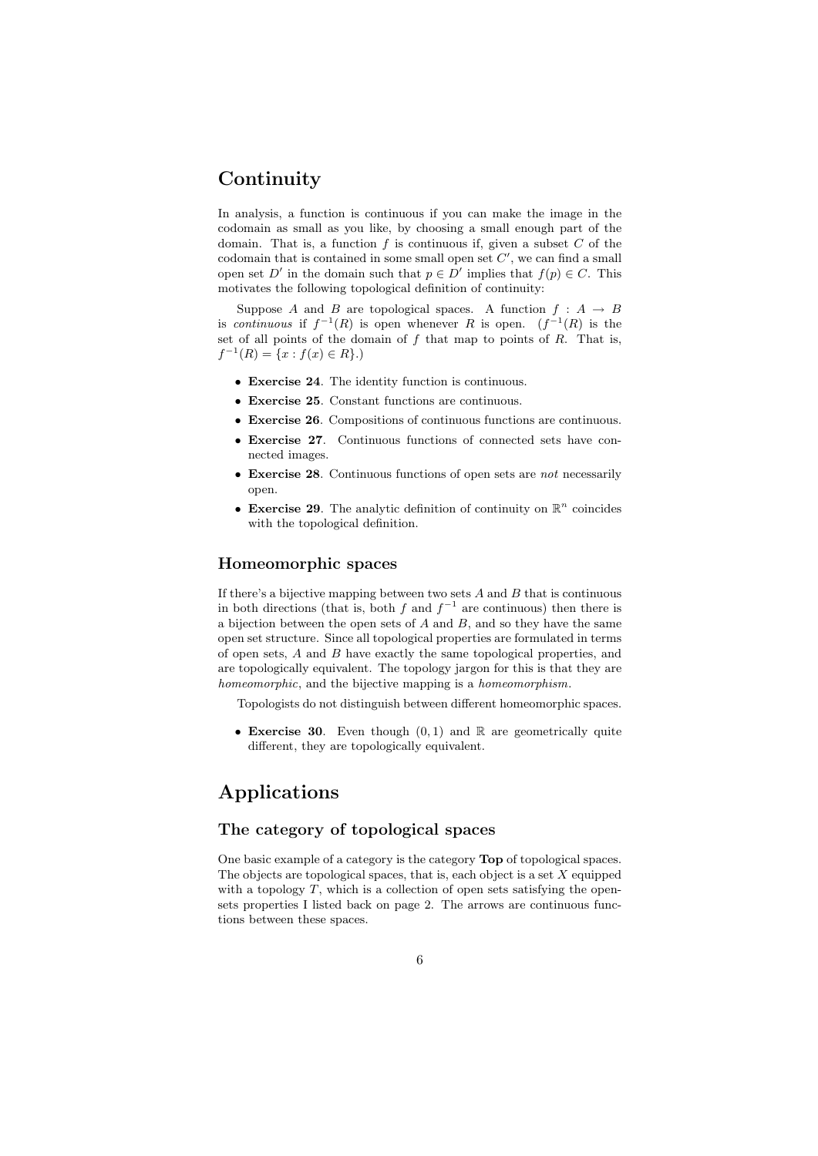# Continuity

In analysis, a function is continuous if you can make the image in the codomain as small as you like, by choosing a small enough part of the domain. That is, a function  $f$  is continuous if, given a subset  $C$  of the codomain that is contained in some small open set  $C'$ , we can find a small open set D' in the domain such that  $p \in D'$  implies that  $f(p) \in C$ . This motivates the following topological definition of continuity:

Suppose A and B are topological spaces. A function  $f : A \rightarrow B$ is continuous if  $f^{-1}(R)$  is open whenever R is open.  $(f^{-1}(R))$  is the set of all points of the domain of  $f$  that map to points of  $R$ . That is,  $f^{-1}(R) = \{x : f(x) \in R\}.$ 

- Exercise 24. The identity function is continuous.
- Exercise 25. Constant functions are continuous.
- Exercise 26. Compositions of continuous functions are continuous.
- Exercise 27. Continuous functions of connected sets have connected images.
- Exercise 28. Continuous functions of open sets are not necessarily open.
- Exercise 29. The analytic definition of continuity on  $\mathbb{R}^n$  coincides with the topological definition.

### Homeomorphic spaces

If there's a bijective mapping between two sets  $A$  and  $B$  that is continuous in both directions (that is, both f and  $f^{-1}$  are continuous) then there is a bijection between the open sets of  $A$  and  $B$ , and so they have the same open set structure. Since all topological properties are formulated in terms of open sets, A and B have exactly the same topological properties, and are topologically equivalent. The topology jargon for this is that they are homeomorphic, and the bijective mapping is a homeomorphism.

Topologists do not distinguish between different homeomorphic spaces.

• Exercise 30. Even though  $(0, 1)$  and R are geometrically quite different, they are topologically equivalent.

# Applications

### The category of topological spaces

One basic example of a category is the category Top of topological spaces. The objects are topological spaces, that is, each object is a set  $X$  equipped with a topology  $T$ , which is a collection of open sets satisfying the opensets properties I listed back on page 2. The arrows are continuous functions between these spaces.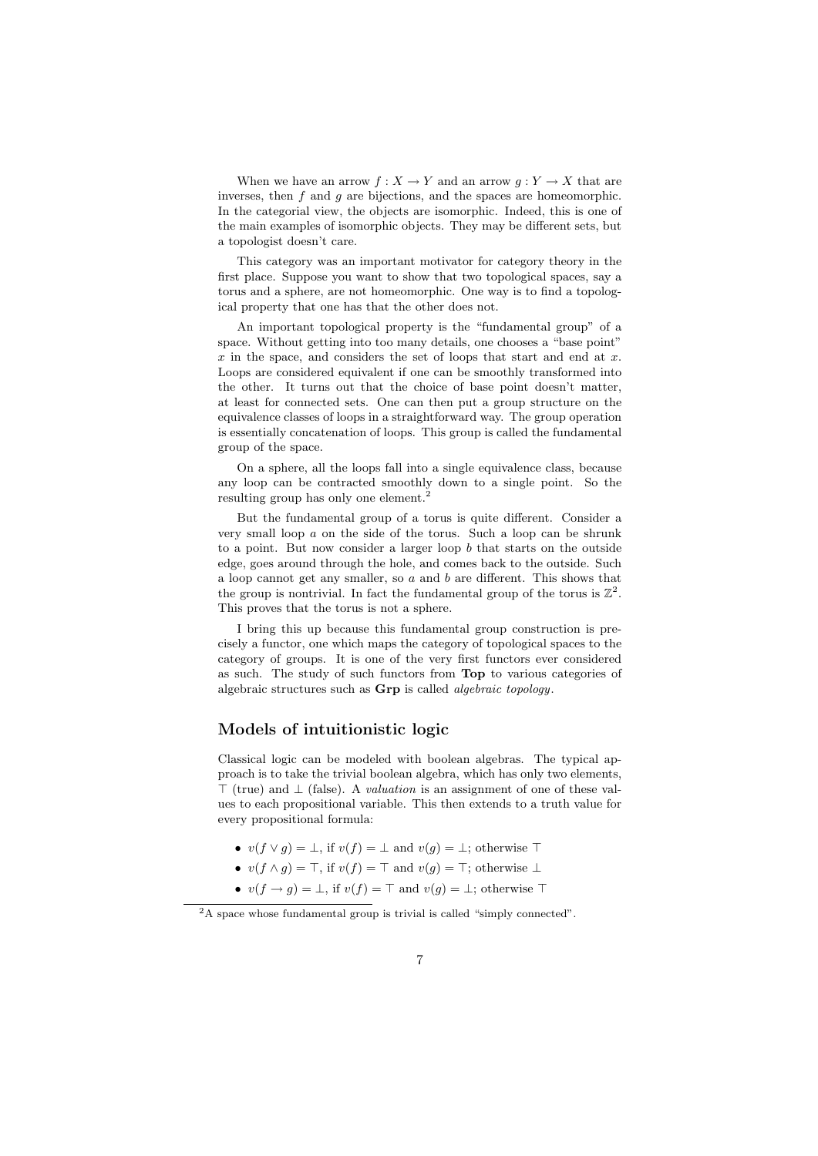When we have an arrow  $f: X \to Y$  and an arrow  $g: Y \to X$  that are inverses, then  $f$  and  $g$  are bijections, and the spaces are homeomorphic. In the categorial view, the objects are isomorphic. Indeed, this is one of the main examples of isomorphic objects. They may be different sets, but a topologist doesn't care.

This category was an important motivator for category theory in the first place. Suppose you want to show that two topological spaces, say a torus and a sphere, are not homeomorphic. One way is to find a topological property that one has that the other does not.

An important topological property is the "fundamental group" of a space. Without getting into too many details, one chooses a "base point" x in the space, and considers the set of loops that start and end at  $x$ . Loops are considered equivalent if one can be smoothly transformed into the other. It turns out that the choice of base point doesn't matter, at least for connected sets. One can then put a group structure on the equivalence classes of loops in a straightforward way. The group operation is essentially concatenation of loops. This group is called the fundamental group of the space.

On a sphere, all the loops fall into a single equivalence class, because any loop can be contracted smoothly down to a single point. So the resulting group has only one element.

But the fundamental group of a torus is quite different. Consider a very small loop  $a$  on the side of the torus. Such a loop can be shrunk to a point. But now consider a larger loop  $b$  that starts on the outside edge, goes around through the hole, and comes back to the outside. Such a loop cannot get any smaller, so  $a$  and  $b$  are different. This shows that the group is nontrivial. In fact the fundamental group of the torus is  $\mathbb{Z}^2$ . This proves that the torus is not a sphere.

I bring this up because this fundamental group construction is precisely a functor, one which maps the category of topological spaces to the category of groups. It is one of the very first functors ever considered as such. The study of such functors from Top to various categories of algebraic structures such as Grp is called algebraic topology.

### Models of intuitionistic logic

Classical logic can be modeled with boolean algebras. The typical approach is to take the trivial boolean algebra, which has only two elements,  $\top$  (true) and  $\bot$  (false). A *valuation* is an assignment of one of these values to each propositional variable. This then extends to a truth value for every propositional formula:

- $v(f \vee q) = \bot$ , if  $v(f) = \bot$  and  $v(q) = \bot$ ; otherwise  $\top$
- $v(f \wedge q) = \top$ , if  $v(f) = \top$  and  $v(q) = \top$ ; otherwise ⊥
- $v(f \to g) = \bot$ , if  $v(f) = \top$  and  $v(g) = \bot$ ; otherwise  $\top$

<sup>2</sup>A space whose fundamental group is trivial is called "simply connected".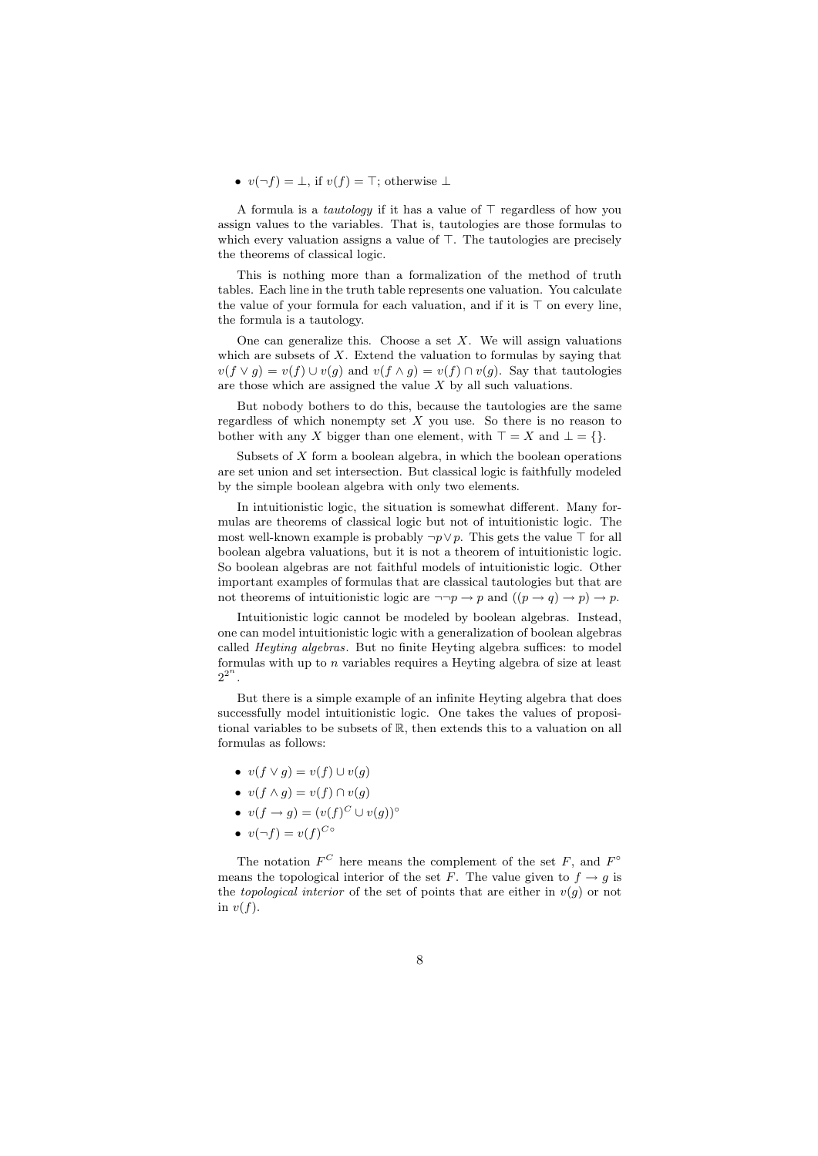#### •  $v(\neg f) = \bot$ , if  $v(f) = \top$ ; otherwise  $\bot$

A formula is a *tautology* if it has a value of  $\top$  regardless of how you assign values to the variables. That is, tautologies are those formulas to which every valuation assigns a value of  $\top$ . The tautologies are precisely the theorems of classical logic.

This is nothing more than a formalization of the method of truth tables. Each line in the truth table represents one valuation. You calculate the value of your formula for each valuation, and if it is  $\top$  on every line. the formula is a tautology.

One can generalize this. Choose a set  $X$ . We will assign valuations which are subsets of  $X$ . Extend the valuation to formulas by saying that  $v(f \vee g) = v(f) \cup v(g)$  and  $v(f \wedge g) = v(f) \cap v(g)$ . Say that tautologies are those which are assigned the value  $X$  by all such valuations.

But nobody bothers to do this, because the tautologies are the same regardless of which nonempty set  $X$  you use. So there is no reason to bother with any X bigger than one element, with  $\top = X$  and  $\bot = \{\}.$ 

Subsets of  $X$  form a boolean algebra, in which the boolean operations are set union and set intersection. But classical logic is faithfully modeled by the simple boolean algebra with only two elements.

In intuitionistic logic, the situation is somewhat different. Many formulas are theorems of classical logic but not of intuitionistic logic. The most well-known example is probably  $\neg p \lor p$ . This gets the value  $\top$  for all boolean algebra valuations, but it is not a theorem of intuitionistic logic. So boolean algebras are not faithful models of intuitionistic logic. Other important examples of formulas that are classical tautologies but that are not theorems of intuitionistic logic are  $\neg\neg p \rightarrow p$  and  $((p \rightarrow q) \rightarrow p) \rightarrow p$ .

Intuitionistic logic cannot be modeled by boolean algebras. Instead, one can model intuitionistic logic with a generalization of boolean algebras called Heyting algebras. But no finite Heyting algebra suffices: to model formulas with up to  $n$  variables requires a Heyting algebra of size at least  $2^{2^n}$ .

But there is a simple example of an infinite Heyting algebra that does successfully model intuitionistic logic. One takes the values of propositional variables to be subsets of R, then extends this to a valuation on all formulas as follows:

- $v(f \vee g) = v(f) \cup v(g)$
- $v(f \wedge g) = v(f) \cap v(g)$
- $v(f \to g) = (v(f)^C \cup v(g))^{\circ}$
- $v(\neg f) = v(f)^{C \circ}$

The notation  $F^C$  here means the complement of the set F, and  $F^{\circ}$ means the topological interior of the set F. The value given to  $f \rightarrow g$  is the topological interior of the set of points that are either in  $v(g)$  or not in  $v(f)$ .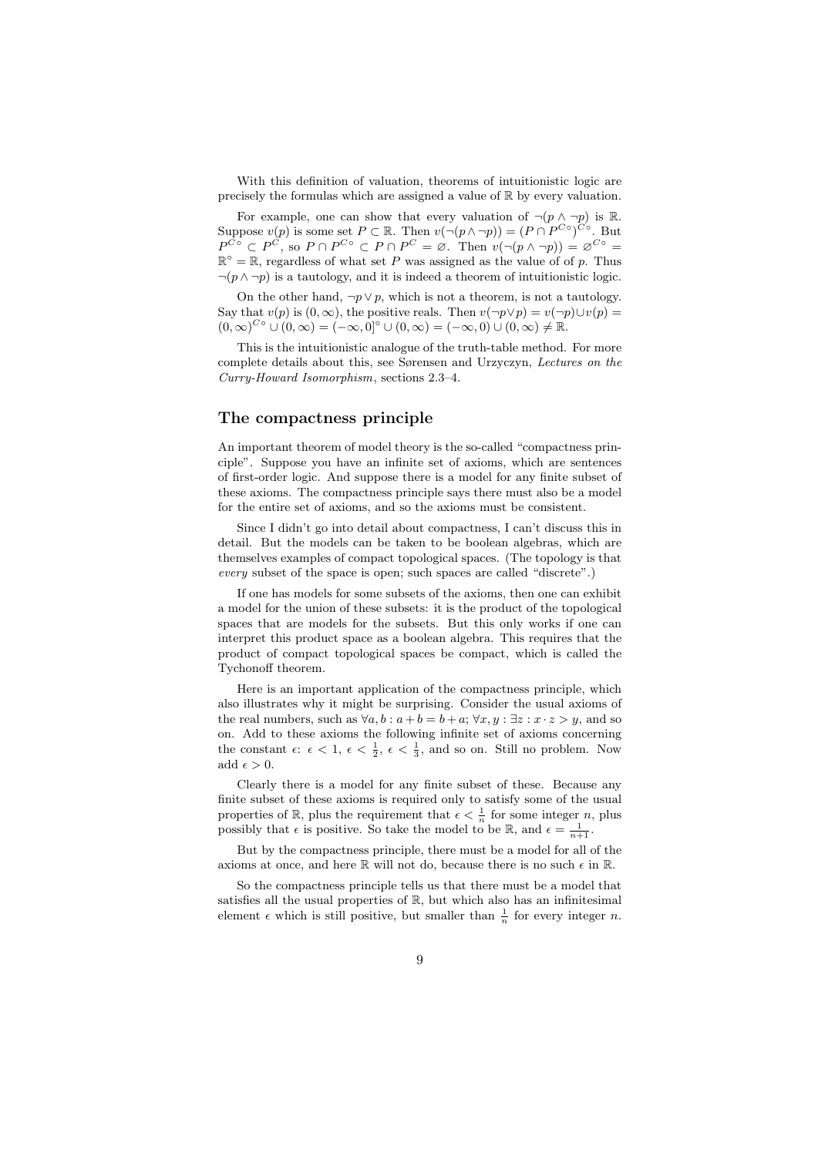With this definition of valuation, theorems of intuitionistic logic are precisely the formulas which are assigned a value of R by every valuation.

For example, one can show that every valuation of  $\neg (p \land \neg p)$  is R. Suppose  $v(p)$  is some set  $P \subset \mathbb{R}$ . Then  $v(\neg (p \wedge \neg p)) = (P \cap P^{C \circ})^{C \circ}$ . But  $P^{C\circ} \subset P^C$ , so  $P \cap P^{C\circ} \subset P \cap P^C = \emptyset$ . Then  $v(\neg (p \land \neg p)) = \emptyset^{C\circ} =$  $\mathbb{R}^{\circ} = \mathbb{R}$ , regardless of what set P was assigned as the value of of p. Thus  $\neg(p \land \neg p)$  is a tautology, and it is indeed a theorem of intuitionistic logic.

On the other hand,  $\neg p \lor p$ , which is not a theorem, is not a tautology. Say that  $v(p)$  is  $(0, \infty)$ , the positive reals. Then  $v(\neg p \lor p) = v(\neg p) \cup v(p) =$  $(0, \infty)^{C \circ} \cup (0, \infty) = (-\infty, 0]^{\circ} \cup (0, \infty) = (-\infty, 0) \cup (0, \infty) \neq \mathbb{R}.$ 

This is the intuitionistic analogue of the truth-table method. For more complete details about this, see Sørensen and Urzyczyn, Lectures on the Curry-Howard Isomorphism, sections 2.3–4.

#### The compactness principle

An important theorem of model theory is the so-called "compactness principle". Suppose you have an infinite set of axioms, which are sentences of first-order logic. And suppose there is a model for any finite subset of these axioms. The compactness principle says there must also be a model for the entire set of axioms, and so the axioms must be consistent.

Since I didn't go into detail about compactness, I can't discuss this in detail. But the models can be taken to be boolean algebras, which are themselves examples of compact topological spaces. (The topology is that every subset of the space is open; such spaces are called "discrete".)

If one has models for some subsets of the axioms, then one can exhibit a model for the union of these subsets: it is the product of the topological spaces that are models for the subsets. But this only works if one can interpret this product space as a boolean algebra. This requires that the product of compact topological spaces be compact, which is called the Tychonoff theorem.

Here is an important application of the compactness principle, which also illustrates why it might be surprising. Consider the usual axioms of the real numbers, such as  $\forall a, b : a + b = b + a; \forall x, y : \exists z : x \cdot z > y$ , and so on. Add to these axioms the following infinite set of axioms concerning the constant  $\epsilon: \epsilon < 1, \epsilon < \frac{1}{2}, \epsilon < \frac{1}{3}$ , and so on. Still no problem. Now add  $\epsilon > 0$ .

Clearly there is a model for any finite subset of these. Because any finite subset of these axioms is required only to satisfy some of the usual properties of  $\mathbb{R}$ , plus the requirement that  $\epsilon < \frac{1}{n}$  for some integer *n*, plus possibly that  $\epsilon$  is positive. So take the model to be R, and  $\epsilon = \frac{1}{n+1}$ .

But by the compactness principle, there must be a model for all of the axioms at once, and here  $\mathbb R$  will not do, because there is no such  $\epsilon$  in  $\mathbb R$ .

So the compactness principle tells us that there must be a model that satisfies all the usual properties of R, but which also has an infinitesimal element  $\epsilon$  which is still positive, but smaller than  $\frac{1}{n}$  for every integer *n*.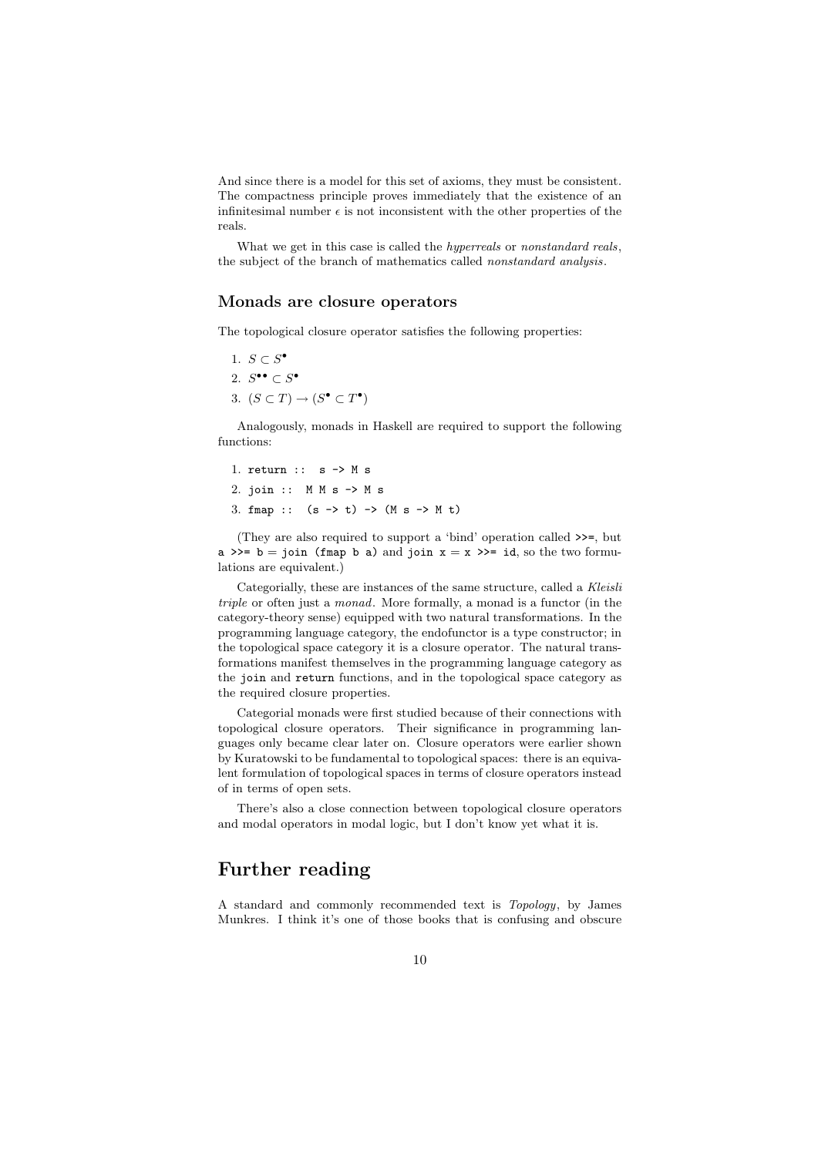And since there is a model for this set of axioms, they must be consistent. The compactness principle proves immediately that the existence of an infinitesimal number  $\epsilon$  is not inconsistent with the other properties of the reals.

What we get in this case is called the *hyperreals* or *nonstandard reals*, the subject of the branch of mathematics called nonstandard analysis.

#### Monads are closure operators

The topological closure operator satisfies the following properties:

1.  $S \subset S^{\bullet}$ 2.  $S^{\bullet \bullet} \subset S^{\bullet}$ 3.  $(S \subset T) \rightarrow (S^{\bullet} \subset T^{\bullet})$ 

Analogously, monads in Haskell are required to support the following functions:

1. return :: s -> M s 2. join :: M M s -> M s 3. fmap ::  $(s \rightarrow t) \rightarrow (M s \rightarrow M t)$ 

(They are also required to support a 'bind' operation called >>=, but a >>= b = join (fmap b a) and join  $x = x$  >>= id, so the two formulations are equivalent.)

Categorially, these are instances of the same structure, called a Kleisli triple or often just a monad. More formally, a monad is a functor (in the category-theory sense) equipped with two natural transformations. In the programming language category, the endofunctor is a type constructor; in the topological space category it is a closure operator. The natural transformations manifest themselves in the programming language category as the join and return functions, and in the topological space category as the required closure properties.

Categorial monads were first studied because of their connections with topological closure operators. Their significance in programming languages only became clear later on. Closure operators were earlier shown by Kuratowski to be fundamental to topological spaces: there is an equivalent formulation of topological spaces in terms of closure operators instead of in terms of open sets.

There's also a close connection between topological closure operators and modal operators in modal logic, but I don't know yet what it is.

## Further reading

A standard and commonly recommended text is Topology, by James Munkres. I think it's one of those books that is confusing and obscure